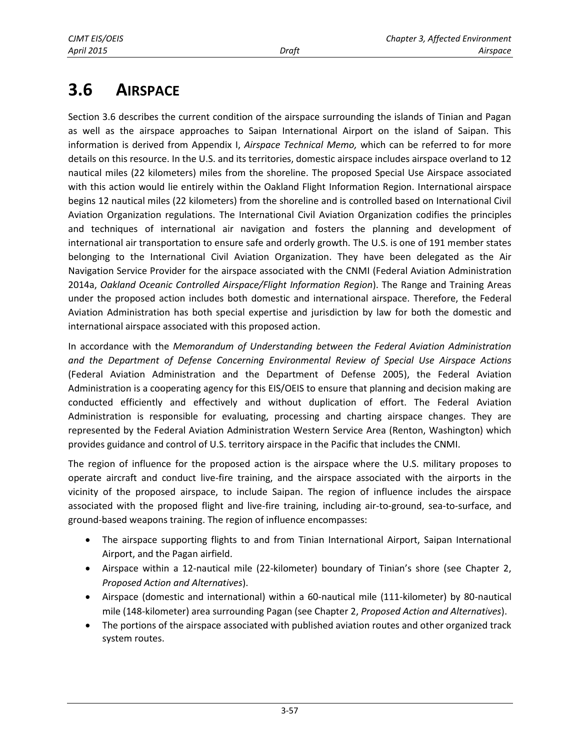# **3.6 AIRSPACE**

Section 3.6 describes the current condition of the airspace surrounding the islands of Tinian and Pagan as well as the airspace approaches to Saipan International Airport on the island of Saipan. This information is derived from Appendix I, *Airspace Technical Memo,* which can be referred to for more details on this resource. In the U.S. and its territories, domestic airspace includes airspace overland to 12 nautical miles (22 kilometers) miles from the shoreline. The proposed Special Use Airspace associated with this action would lie entirely within the Oakland Flight Information Region. International airspace begins 12 nautical miles (22 kilometers) from the shoreline and is controlled based on International Civil Aviation Organization regulations. The International Civil Aviation Organization codifies the principles and techniques of international air navigation and fosters the planning and development of international air transportation to ensure safe and orderly growth. The U.S. is one of 191 member states belonging to the International Civil Aviation Organization. They have been delegated as the Air Navigation Service Provider for the airspace associated with the CNMI (Federal Aviation Administration 2014a, *Oakland Oceanic Controlled Airspace/Flight Information Region*). The Range and Training Areas under the proposed action includes both domestic and international airspace. Therefore, the Federal Aviation Administration has both special expertise and jurisdiction by law for both the domestic and international airspace associated with this proposed action.

In accordance with the *Memorandum of Understanding between the Federal Aviation Administration and the Department of Defense Concerning Environmental Review of Special Use Airspace Actions* (Federal Aviation Administration and the Department of Defense 2005), the Federal Aviation Administration is a cooperating agency for this EIS/OEIS to ensure that planning and decision making are conducted efficiently and effectively and without duplication of effort. The Federal Aviation Administration is responsible for evaluating, processing and charting airspace changes. They are represented by the Federal Aviation Administration Western Service Area (Renton, Washington) which provides guidance and control of U.S. territory airspace in the Pacific that includes the CNMI.

The region of influence for the proposed action is the airspace where the U.S. military proposes to operate aircraft and conduct live-fire training, and the airspace associated with the airports in the vicinity of the proposed airspace, to include Saipan. The region of influence includes the airspace associated with the proposed flight and live-fire training, including air-to-ground, sea-to-surface, and ground-based weapons training. The region of influence encompasses:

- The airspace supporting flights to and from Tinian International Airport, Saipan International Airport, and the Pagan airfield.
- Airspace within a 12-nautical mile (22-kilometer) boundary of Tinian's shore (see Chapter 2, *Proposed Action and Alternatives*).
- Airspace (domestic and international) within a 60-nautical mile (111-kilometer) by 80-nautical mile (148-kilometer) area surrounding Pagan (see Chapter 2, *Proposed Action and Alternatives*).
- The portions of the airspace associated with published aviation routes and other organized track system routes.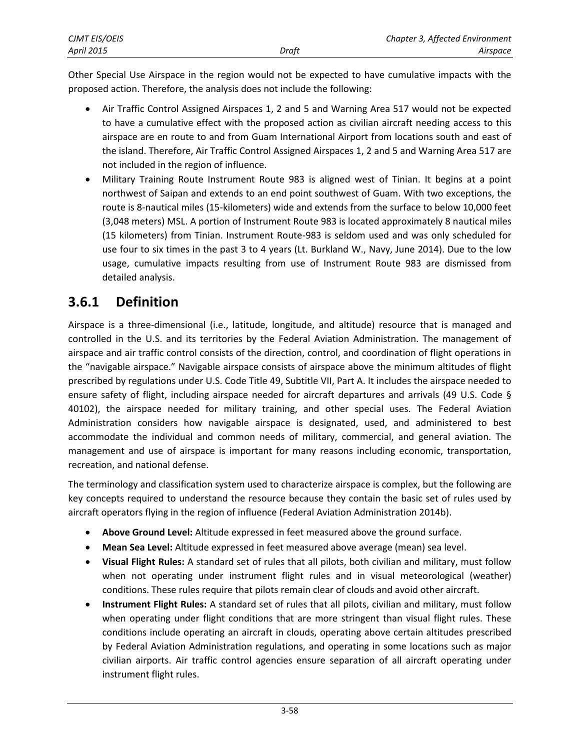| CJMT EIS/OEIS     |       | Chapter 3, Affected Environment |
|-------------------|-------|---------------------------------|
| <b>April 2015</b> | Draft | Airspace                        |

Other Special Use Airspace in the region would not be expected to have cumulative impacts with the proposed action. Therefore, the analysis does not include the following:

- Air Traffic Control Assigned Airspaces 1, 2 and 5 and Warning Area 517 would not be expected to have a cumulative effect with the proposed action as civilian aircraft needing access to this airspace are en route to and from Guam International Airport from locations south and east of the island. Therefore, Air Traffic Control Assigned Airspaces 1, 2 and 5 and Warning Area 517 are not included in the region of influence.
- Military Training Route Instrument Route 983 is aligned west of Tinian. It begins at a point northwest of Saipan and extends to an end point southwest of Guam. With two exceptions, the route is 8-nautical miles (15-kilometers) wide and extends from the surface to below 10,000 feet (3,048 meters) MSL. A portion of Instrument Route 983 is located approximately 8 nautical miles (15 kilometers) from Tinian. Instrument Route-983 is seldom used and was only scheduled for use four to six times in the past 3 to 4 years (Lt. Burkland W., Navy, June 2014). Due to the low usage, cumulative impacts resulting from use of Instrument Route 983 are dismissed from detailed analysis.

### **3.6.1 Definition**

Airspace is a three-dimensional (i.e., latitude, longitude, and altitude) resource that is managed and controlled in the U.S. and its territories by the Federal Aviation Administration. The management of airspace and air traffic control consists of the direction, control, and coordination of flight operations in the "navigable airspace." Navigable airspace consists of airspace above the minimum altitudes of flight prescribed by regulations under U.S. Code Title 49, Subtitle VII, Part A. It includes the airspace needed to ensure safety of flight, including airspace needed for aircraft departures and arrivals (49 U.S. Code § 40102), the airspace needed for military training, and other special uses. The Federal Aviation Administration considers how navigable airspace is designated, used, and administered to best accommodate the individual and common needs of military, commercial, and general aviation. The management and use of airspace is important for many reasons including economic, transportation, recreation, and national defense.

The terminology and classification system used to characterize airspace is complex, but the following are key concepts required to understand the resource because they contain the basic set of rules used by aircraft operators flying in the region of influence (Federal Aviation Administration 2014b).

- **Above Ground Level:** Altitude expressed in feet measured above the ground surface.
- **Mean Sea Level:** Altitude expressed in feet measured above average (mean) sea level.
- **Visual Flight Rules:** A standard set of rules that all pilots, both civilian and military, must follow when not operating under instrument flight rules and in visual meteorological (weather) conditions. These rules require that pilots remain clear of clouds and avoid other aircraft.
- **Instrument Flight Rules:** A standard set of rules that all pilots, civilian and military, must follow when operating under flight conditions that are more stringent than visual flight rules. These conditions include operating an aircraft in clouds, operating above certain altitudes prescribed by Federal Aviation Administration regulations, and operating in some locations such as major civilian airports. Air traffic control agencies ensure separation of all aircraft operating under instrument flight rules.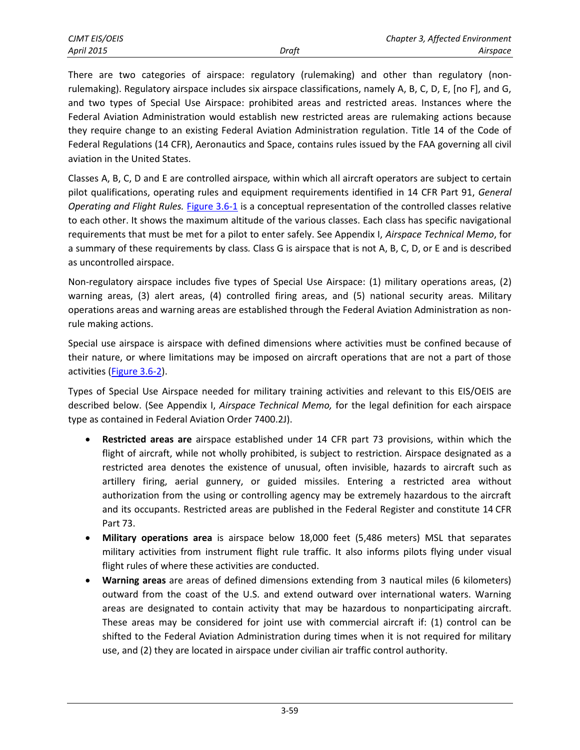There are two categories of airspace: regulatory (rulemaking) and other than regulatory (nonrulemaking). Regulatory airspace includes six airspace classifications, namely A, B, C, D, E, [no F], and G, and two types of Special Use Airspace: prohibited areas and restricted areas. Instances where the Federal Aviation Administration would establish new restricted areas are rulemaking actions because they require change to an existing Federal Aviation Administration regulation. Title 14 of the Code of Federal Regulations (14 CFR), Aeronautics and Space, contains rules issued by the FAA governing all civil aviation in the United States.

Classes A, B, C, D and E are controlled airspace*,* within which all aircraft operators are subject to certain pilot qualifications, operating rules and equipment requirements identified in 14 CFR Part 91, *General Operating and Flight Rules.* [Figure 3.6-1](#page-3-0) is a conceptual representation of the controlled classes relative to each other. It shows the maximum altitude of the various classes. Each class has specific navigational requirements that must be met for a pilot to enter safely. See Appendix I, *Airspace Technical Memo*, for a summary of these requirements by class*.* Class G is airspace that is not A, B, C, D, or E and is described as uncontrolled airspace.

Non-regulatory airspace includes five types of Special Use Airspace: (1) military operations areas, (2) warning areas, (3) alert areas, (4) controlled firing areas, and (5) national security areas. Military operations areas and warning areas are established through the Federal Aviation Administration as non‐ rule making actions.

Special use airspace is airspace with defined dimensions where activities must be confined because of their nature, or where limitations may be imposed on aircraft operations that are not a part of those activities [\(Figure 3.6-2\)](#page-4-0).

Types of Special Use Airspace needed for military training activities and relevant to this EIS/OEIS are described below. (See Appendix I, *Airspace Technical Memo,* for the legal definition for each airspace type as contained in Federal Aviation Order 7400.2J).

- **Restricted areas are** airspace established under 14 CFR part 73 provisions, within which the flight of aircraft, while not wholly prohibited, is subject to restriction. Airspace designated as a restricted area denotes the existence of unusual, often invisible, hazards to aircraft such as artillery firing, aerial gunnery, or guided missiles. Entering a restricted area without authorization from the using or controlling agency may be extremely hazardous to the aircraft and its occupants. Restricted areas are published in the Federal Register and constitute 14 CFR Part 73.
- **Military operations area** is airspace below 18,000 feet (5,486 meters) MSL that separates military activities from instrument flight rule traffic. It also informs pilots flying under visual flight rules of where these activities are conducted.
- **Warning areas** are areas of defined dimensions extending from 3 nautical miles (6 kilometers) outward from the coast of the U.S. and extend outward over international waters. Warning areas are designated to contain activity that may be hazardous to nonparticipating aircraft. These areas may be considered for joint use with commercial aircraft if: (1) control can be shifted to the Federal Aviation Administration during times when it is not required for military use, and (2) they are located in airspace under civilian air traffic control authority.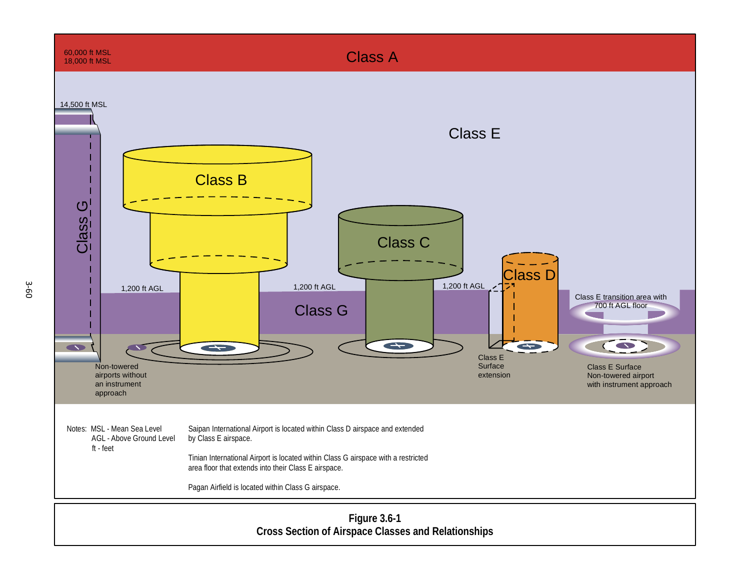<span id="page-3-0"></span>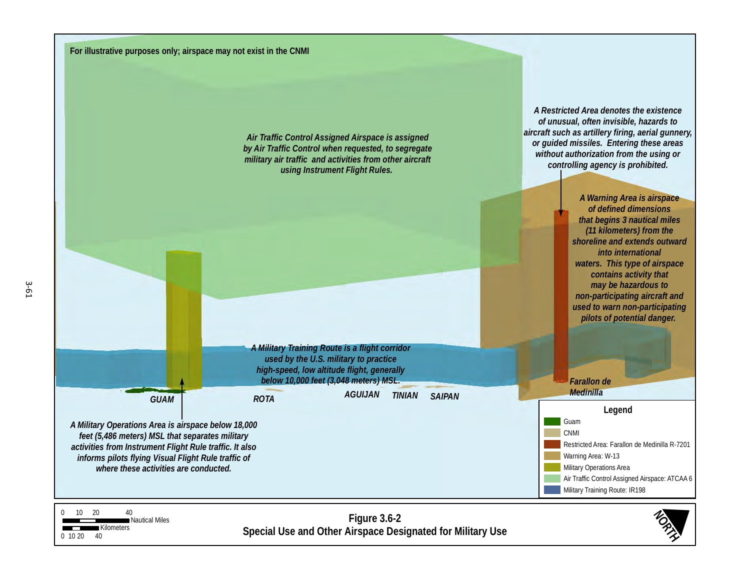<span id="page-4-0"></span>**Figure 3.6-2** Figure 3.6-2<br>
Special Use and Other Airspace Designated for Military Use<br>
Special Use and Other Airspace Designated for Military Use 0 10 20 40<br>Nautical Miles *GUAM ROTA AGUIJAN TINIAN Medinilla SAIPAN Farallon de Air Traffic Control Assigned Airspace is assigned by Air Traffic Control when requested, to segregate military air traffic and activities from other aircraft using Instrument Flight Rules. A Restricted Area denotes the existence of unusual, often invisible, hazards to aircraft such as artillery firing, aerial gunnery, or guided missiles. Entering these areas without authorization from the using or controlling agency is prohibited. A Military Training Route is a flight corridor used by the U.S. military to practice high-speed, low altitude flight, generally below 10,000 feet (3,048 meters) MSL. A Military Operations Area is airspace below 18,000 feet (5,486 meters) MSL that separates military activities from Instrument Flight Rule traffic. It also informs pilots flying Visual Flight Rule traffic of where these activities are conducted. A Warning Area is airspace of defined dimensions that begins 3 nautical miles (11 kilometers) from the shoreline and extends outward into international waters. This type of airspace contains activity that may be hazardous to non-participating aircraft and used to warn non-participating pilots of potential danger.*  **Legend** H Restricted Area: Farallon de Medinilla R-7201 Warning Area: W-13 Air Traffic Control Assigned Airspace: ATCAA 6 Guam CNMI Military Operations Area Military Training Route: IR198 H **For illustrative purposes only; airspace may not exist in the CNMI**

0 10 20 40

**Kilometers**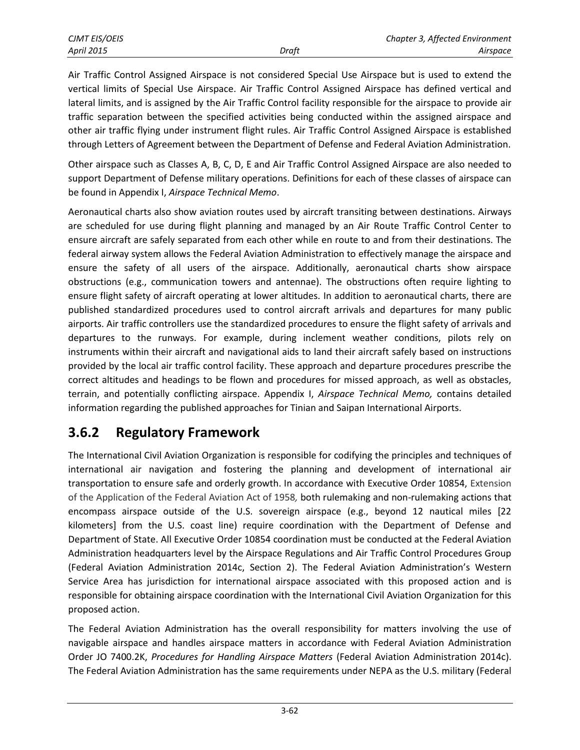Air Traffic Control Assigned Airspace is not considered Special Use Airspace but is used to extend the vertical limits of Special Use Airspace. Air Traffic Control Assigned Airspace has defined vertical and lateral limits, and is assigned by the Air Traffic Control facility responsible for the airspace to provide air traffic separation between the specified activities being conducted within the assigned airspace and other air traffic flying under instrument flight rules. Air Traffic Control Assigned Airspace is established through Letters of Agreement between the Department of Defense and Federal Aviation Administration.

Other airspace such as Classes A, B, C, D, E and Air Traffic Control Assigned Airspace are also needed to support Department of Defense military operations. Definitions for each of these classes of airspace can be found in Appendix I, *Airspace Technical Memo*.

Aeronautical charts also show aviation routes used by aircraft transiting between destinations. Airways are scheduled for use during flight planning and managed by an Air Route Traffic Control Center to ensure aircraft are safely separated from each other while en route to and from their destinations. The federal airway system allows the Federal Aviation Administration to effectively manage the airspace and ensure the safety of all users of the airspace. Additionally, aeronautical charts show airspace obstructions (e.g., communication towers and antennae). The obstructions often require lighting to ensure flight safety of aircraft operating at lower altitudes. In addition to aeronautical charts, there are published standardized procedures used to control aircraft arrivals and departures for many public airports. Air traffic controllers use the standardized procedures to ensure the flight safety of arrivals and departures to the runways. For example, during inclement weather conditions, pilots rely on instruments within their aircraft and navigational aids to land their aircraft safely based on instructions provided by the local air traffic control facility. These approach and departure procedures prescribe the correct altitudes and headings to be flown and procedures for missed approach, as well as obstacles, terrain, and potentially conflicting airspace. Appendix I, *Airspace Technical Memo,* contains detailed information regarding the published approaches for Tinian and Saipan International Airports.

### **3.6.2 Regulatory Framework**

The International Civil Aviation Organization is responsible for codifying the principles and techniques of international air navigation and fostering the planning and development of international air transportation to ensure safe and orderly growth. In accordance with Executive Order 10854, Extension of the Application of the Federal Aviation Act of 1958*,* both rulemaking and non-rulemaking actions that encompass airspace outside of the U.S. sovereign airspace (e.g., beyond 12 nautical miles [22 kilometers] from the U.S. coast line) require coordination with the Department of Defense and Department of State. All Executive Order 10854 coordination must be conducted at the Federal Aviation Administration headquarters level by the Airspace Regulations and Air Traffic Control Procedures Group (Federal Aviation Administration 2014c, Section 2). The Federal Aviation Administration's Western Service Area has jurisdiction for international airspace associated with this proposed action and is responsible for obtaining airspace coordination with the International Civil Aviation Organization for this proposed action.

The Federal Aviation Administration has the overall responsibility for matters involving the use of navigable airspace and handles airspace matters in accordance with Federal Aviation Administration Order JO 7400.2K, *Procedures for Handling Airspace Matters* (Federal Aviation Administration 2014c). The Federal Aviation Administration has the same requirements under NEPA as the U.S. military (Federal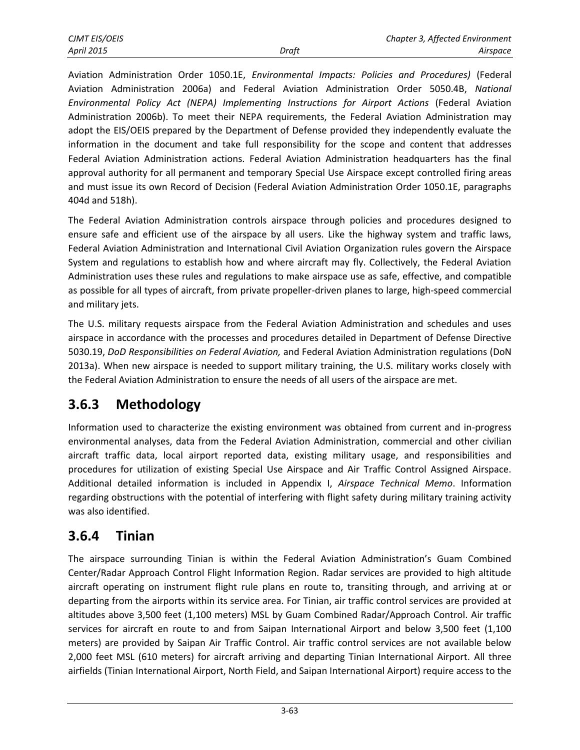Aviation Administration Order 1050.1E, *Environmental Impacts: Policies and Procedures)* (Federal Aviation Administration 2006a) and Federal Aviation Administration Order 5050.4B, *National Environmental Policy Act (NEPA) Implementing Instructions for Airport Actions* (Federal Aviation Administration 2006b). To meet their NEPA requirements, the Federal Aviation Administration may adopt the EIS/OEIS prepared by the Department of Defense provided they independently evaluate the information in the document and take full responsibility for the scope and content that addresses Federal Aviation Administration actions. Federal Aviation Administration headquarters has the final approval authority for all permanent and temporary Special Use Airspace except controlled firing areas and must issue its own Record of Decision (Federal Aviation Administration Order 1050.1E, paragraphs 404d and 518h).

The Federal Aviation Administration controls airspace through policies and procedures designed to ensure safe and efficient use of the airspace by all users. Like the highway system and traffic laws, Federal Aviation Administration and International Civil Aviation Organization rules govern the Airspace System and regulations to establish how and where aircraft may fly. Collectively, the Federal Aviation Administration uses these rules and regulations to make airspace use as safe, effective, and compatible as possible for all types of aircraft, from private propeller-driven planes to large, high-speed commercial and military jets.

The U.S. military requests airspace from the Federal Aviation Administration and schedules and uses airspace in accordance with the processes and procedures detailed in Department of Defense Directive 5030.19, *DoD Responsibilities on Federal Aviation,* and Federal Aviation Administration regulations (DoN 2013a). When new airspace is needed to support military training, the U.S. military works closely with the Federal Aviation Administration to ensure the needs of all users of the airspace are met.

# **3.6.3 Methodology**

Information used to characterize the existing environment was obtained from current and in-progress environmental analyses, data from the Federal Aviation Administration, commercial and other civilian aircraft traffic data, local airport reported data, existing military usage, and responsibilities and procedures for utilization of existing Special Use Airspace and Air Traffic Control Assigned Airspace. Additional detailed information is included in Appendix I, *Airspace Technical Memo*. Information regarding obstructions with the potential of interfering with flight safety during military training activity was also identified.

### **3.6.4 Tinian**

The airspace surrounding Tinian is within the Federal Aviation Administration's Guam Combined Center/Radar Approach Control Flight Information Region. Radar services are provided to high altitude aircraft operating on instrument flight rule plans en route to, transiting through, and arriving at or departing from the airports within its service area. For Tinian, air traffic control services are provided at altitudes above 3,500 feet (1,100 meters) MSL by Guam Combined Radar/Approach Control. Air traffic services for aircraft en route to and from Saipan International Airport and below 3,500 feet (1,100 meters) are provided by Saipan Air Traffic Control. Air traffic control services are not available below 2,000 feet MSL (610 meters) for aircraft arriving and departing Tinian International Airport. All three airfields (Tinian International Airport, North Field, and Saipan International Airport) require access to the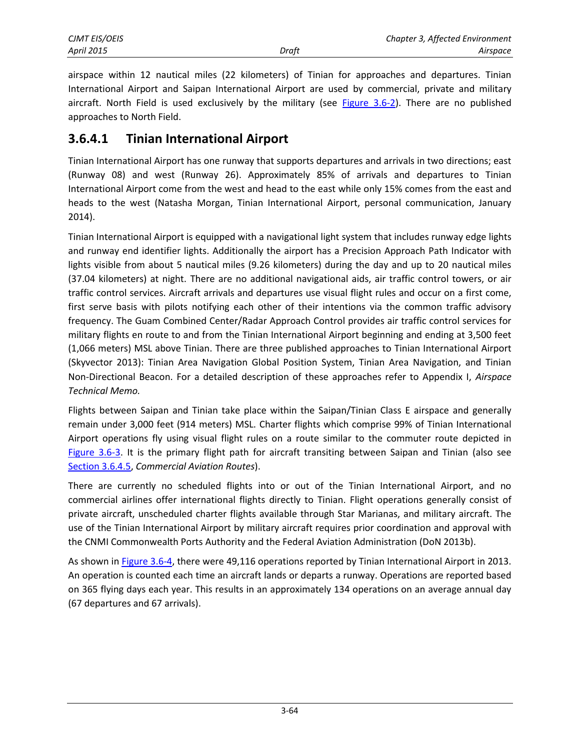airspace within 12 nautical miles (22 kilometers) of Tinian for approaches and departures. Tinian International Airport and Saipan International Airport are used by commercial, private and military aircraft. North Field is used exclusively by the military (see [Figure 3.6-2\)](#page-4-0). There are no published approaches to North Field.

#### **3.6.4.1 Tinian International Airport**

Tinian International Airport has one runway that supports departures and arrivals in two directions; east (Runway 08) and west (Runway 26). Approximately 85% of arrivals and departures to Tinian International Airport come from the west and head to the east while only 15% comes from the east and heads to the west (Natasha Morgan, Tinian International Airport, personal communication, January 2014).

Tinian International Airport is equipped with a navigational light system that includes runway edge lights and runway end identifier lights. Additionally the airport has a Precision Approach Path Indicator with lights visible from about 5 nautical miles (9.26 kilometers) during the day and up to 20 nautical miles (37.04 kilometers) at night. There are no additional navigational aids, air traffic control towers, or air traffic control services. Aircraft arrivals and departures use visual flight rules and occur on a first come, first serve basis with pilots notifying each other of their intentions via the common traffic advisory frequency. The Guam Combined Center/Radar Approach Control provides air traffic control services for military flights en route to and from the Tinian International Airport beginning and ending at 3,500 feet (1,066 meters) MSL above Tinian. There are three published approaches to Tinian International Airport (Skyvector 2013): Tinian Area Navigation Global Position System, Tinian Area Navigation, and Tinian Non-Directional Beacon. For a detailed description of these approaches refer to Appendix I, *Airspace Technical Memo.*

Flights between Saipan and Tinian take place within the Saipan/Tinian Class E airspace and generally remain under 3,000 feet (914 meters) MSL. Charter flights which comprise 99% of Tinian International Airport operations fly using visual flight rules on a route similar to the commuter route depicted in [Figure 3.6-3.](#page-8-0) It is the primary flight path for aircraft transiting between Saipan and Tinian (also see [Section 3.6.4.5,](#page-13-0) *Commercial Aviation Routes*).

There are currently no scheduled flights into or out of the Tinian International Airport, and no commercial airlines offer international flights directly to Tinian. Flight operations generally consist of private aircraft, unscheduled charter flights available through Star Marianas, and military aircraft. The use of the Tinian International Airport by military aircraft requires prior coordination and approval with the CNMI Commonwealth Ports Authority and the Federal Aviation Administration (DoN 2013b).

As shown in [Figure 3.6-4,](#page-9-0) there were 49,116 operations reported by Tinian International Airport in 2013. An operation is counted each time an aircraft lands or departs a runway. Operations are reported based on 365 flying days each year. This results in an approximately 134 operations on an average annual day (67 departures and 67 arrivals).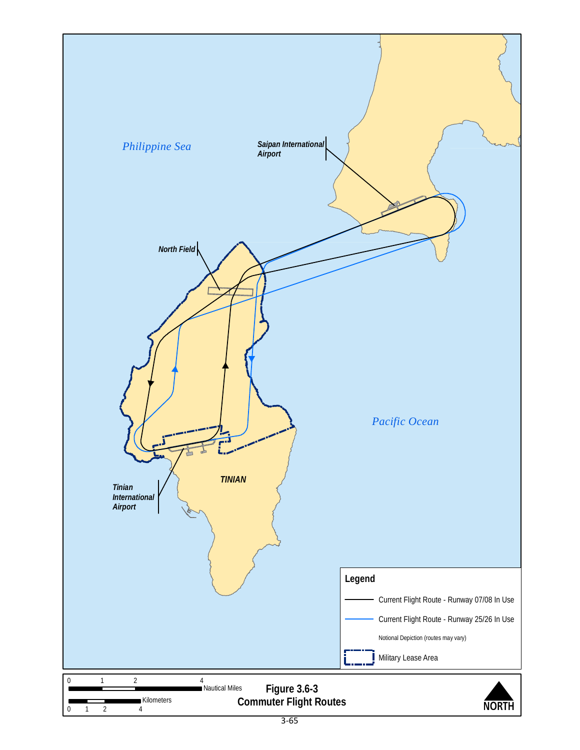<span id="page-8-0"></span>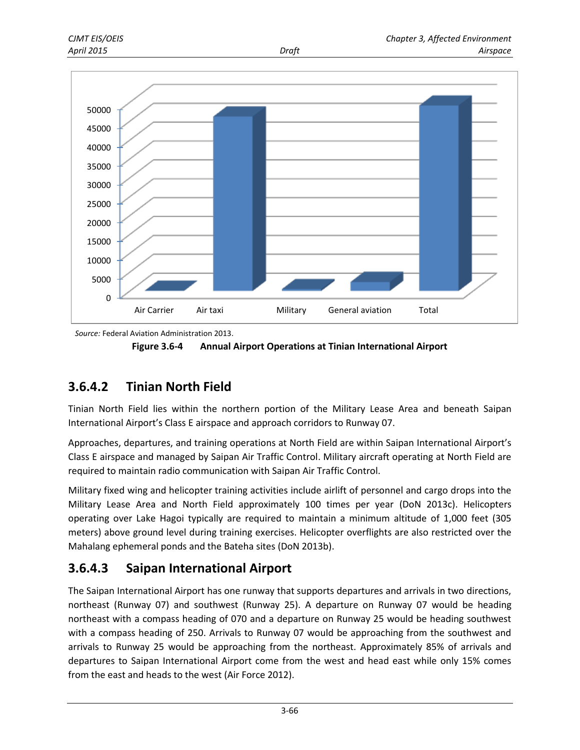



*Source:* Federal Aviation Administration 2013.

<span id="page-9-0"></span>

### **3.6.4.2 Tinian North Field**

Tinian North Field lies within the northern portion of the Military Lease Area and beneath Saipan International Airport's Class E airspace and approach corridors to Runway 07.

Approaches, departures, and training operations at North Field are within Saipan International Airport's Class E airspace and managed by Saipan Air Traffic Control. Military aircraft operating at North Field are required to maintain radio communication with Saipan Air Traffic Control.

Military fixed wing and helicopter training activities include airlift of personnel and cargo drops into the Military Lease Area and North Field approximately 100 times per year (DoN 2013c). Helicopters operating over Lake Hagoi typically are required to maintain a minimum altitude of 1,000 feet (305 meters) above ground level during training exercises. Helicopter overflights are also restricted over the Mahalang ephemeral ponds and the Bateha sites (DoN 2013b).

### **3.6.4.3 Saipan International Airport**

The Saipan International Airport has one runway that supports departures and arrivals in two directions, northeast (Runway 07) and southwest (Runway 25). A departure on Runway 07 would be heading northeast with a compass heading of 070 and a departure on Runway 25 would be heading southwest with a compass heading of 250. Arrivals to Runway 07 would be approaching from the southwest and arrivals to Runway 25 would be approaching from the northeast. Approximately 85% of arrivals and departures to Saipan International Airport come from the west and head east while only 15% comes from the east and heads to the west (Air Force 2012).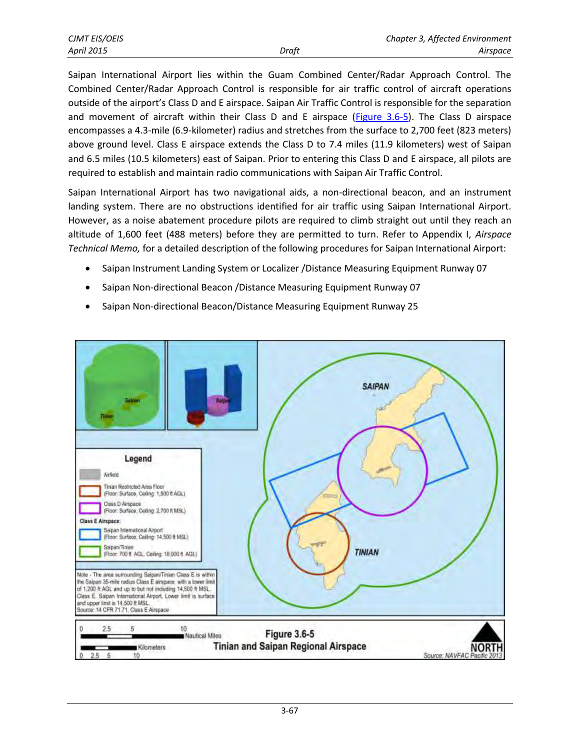Saipan International Airport lies within the Guam Combined Center/Radar Approach Control. The Combined Center/Radar Approach Control is responsible for air traffic control of aircraft operations outside of the airport's Class D and E airspace. Saipan Air Traffic Control is responsible for the separation and movement of aircraft within their Class D and E airspace [\(Figure 3.6-5\)](#page-10-0). The Class D airspace encompasses a 4.3-mile (6.9-kilometer) radius and stretches from the surface to 2,700 feet (823 meters) above ground level. Class E airspace extends the Class D to 7.4 miles (11.9 kilometers) west of Saipan and 6.5 miles (10.5 kilometers) east of Saipan. Prior to entering this Class D and E airspace, all pilots are required to establish and maintain radio communications with Saipan Air Traffic Control.

Saipan International Airport has two navigational aids, a non-directional beacon, and an instrument landing system. There are no obstructions identified for air traffic using Saipan International Airport. However, as a noise abatement procedure pilots are required to climb straight out until they reach an altitude of 1,600 feet (488 meters) before they are permitted to turn. Refer to Appendix I, *Airspace Technical Memo,* for a detailed description of the following procedures for Saipan International Airport:

- Saipan Instrument Landing System or Localizer / Distance Measuring Equipment Runway 07
- Saipan Non-directional Beacon /Distance Measuring Equipment Runway 07
- Saipan Non-directional Beacon/Distance Measuring Equipment Runway 25

<span id="page-10-0"></span>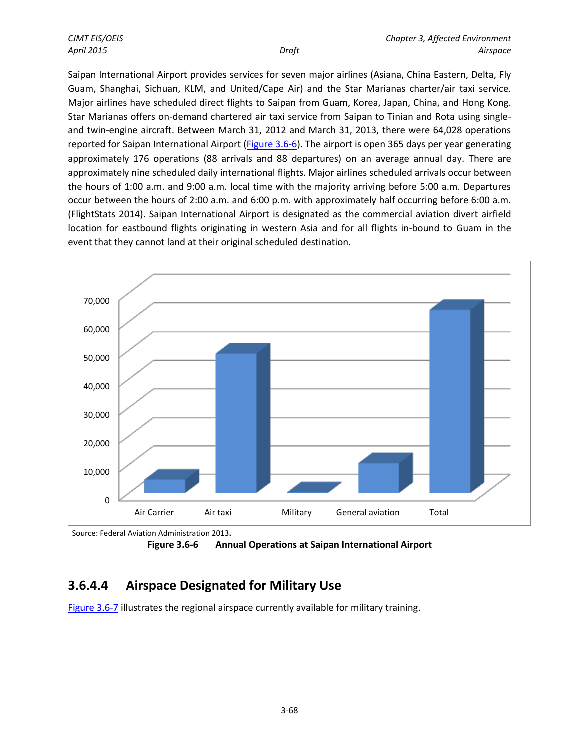| CJMT EIS/OEIS |       | Chapter 3, Affected Environment |
|---------------|-------|---------------------------------|
| April 2015    | Draft | Airspace                        |

Saipan International Airport provides services for seven major airlines (Asiana, China Eastern, Delta, Fly Guam, Shanghai, Sichuan, KLM, and United/Cape Air) and the Star Marianas charter/air taxi service. Major airlines have scheduled direct flights to Saipan from Guam, Korea, Japan, China, and Hong Kong. Star Marianas offers on-demand chartered air taxi service from Saipan to Tinian and Rota using singleand twin-engine aircraft. Between March 31, 2012 and March 31, 2013, there were 64,028 operations reported for Saipan International Airport [\(Figure 3.6-6\)](#page-11-0). The airport is open 365 days per year generating approximately 176 operations (88 arrivals and 88 departures) on an average annual day. There are approximately nine scheduled daily international flights. Major airlines scheduled arrivals occur between the hours of 1:00 a.m. and 9:00 a.m. local time with the majority arriving before 5:00 a.m. Departures occur between the hours of 2:00 a.m. and 6:00 p.m. with approximately half occurring before 6:00 a.m. (FlightStats 2014). Saipan International Airport is designated as the commercial aviation divert airfield location for eastbound flights originating in western Asia and for all flights in-bound to Guam in the event that they cannot land at their original scheduled destination.



Source: Federal Aviation Administration 2013**.** 

<span id="page-11-0"></span>

# **3.6.4.4 Airspace Designated for Military Use**

[Figure 3.6-7](#page-12-0) illustrates the regional airspace currently available for military training.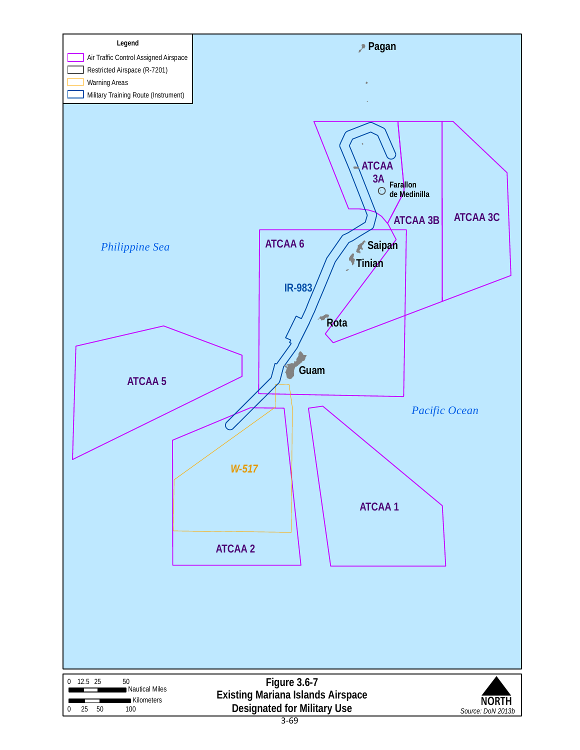<span id="page-12-0"></span>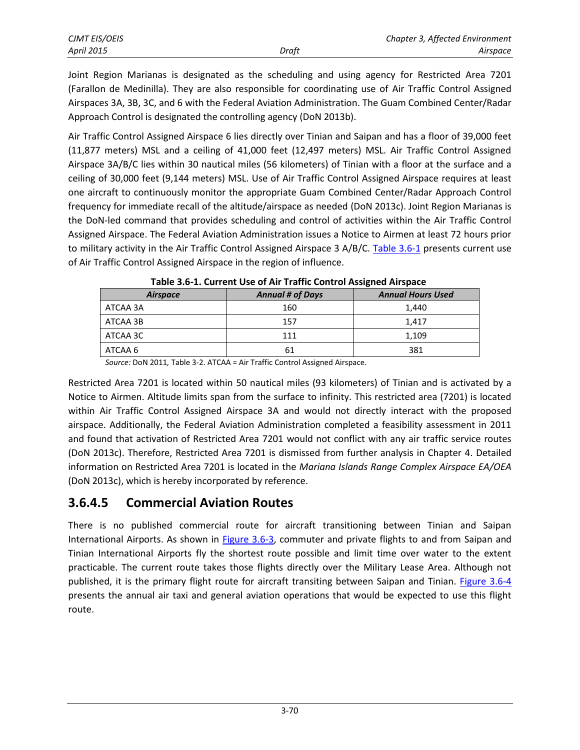Joint Region Marianas is designated as the scheduling and using agency for Restricted Area 7201 (Farallon de Medinilla). They are also responsible for coordinating use of Air Traffic Control Assigned Airspaces 3A, 3B, 3C, and 6 with the Federal Aviation Administration. The Guam Combined Center/Radar Approach Control is designated the controlling agency (DoN 2013b).

Air Traffic Control Assigned Airspace 6 lies directly over Tinian and Saipan and has a floor of 39,000 feet (11,877 meters) MSL and a ceiling of 41,000 feet (12,497 meters) MSL. Air Traffic Control Assigned Airspace 3A/B/C lies within 30 nautical miles (56 kilometers) of Tinian with a floor at the surface and a ceiling of 30,000 feet (9,144 meters) MSL. Use of Air Traffic Control Assigned Airspace requires at least one aircraft to continuously monitor the appropriate Guam Combined Center/Radar Approach Control frequency for immediate recall of the altitude/airspace as needed (DoN 2013c). Joint Region Marianas is the DoN-led command that provides scheduling and control of activities within the Air Traffic Control Assigned Airspace. The Federal Aviation Administration issues a Notice to Airmen at least 72 hours prior to military activity in the Air Traffic Control Assigned Airspace 3 A/B/C. [Table 3.6-1](#page-13-1) presents current use of Air Traffic Control Assigned Airspace in the region of influence.

| <b>Airspace</b> | <b>Annual # of Days</b> | <b>Annual Hours Used</b> |  |
|-----------------|-------------------------|--------------------------|--|
| ATCAA 3A        | 160                     | 1,440                    |  |
| ATCAA 3B        | 157                     | 1.417                    |  |
| ATCAA 3C        | 111                     | 1,109                    |  |
| ATCAA 6         | 61                      | 381                      |  |

<span id="page-13-1"></span>**Table 3.6-1. Current Use of Air Traffic Control Assigned Airspace** 

*Source:* DoN 2011*,* Table 3-2. ATCAA = Air Traffic Control Assigned Airspace.

Restricted Area 7201 is located within 50 nautical miles (93 kilometers) of Tinian and is activated by a Notice to Airmen. Altitude limits span from the surface to infinity. This restricted area (7201) is located within Air Traffic Control Assigned Airspace 3A and would not directly interact with the proposed airspace. Additionally, the Federal Aviation Administration completed a feasibility assessment in 2011 and found that activation of Restricted Area 7201 would not conflict with any air traffic service routes (DoN 2013c). Therefore, Restricted Area 7201 is dismissed from further analysis in Chapter 4. Detailed information on Restricted Area 7201 is located in the *Mariana Islands Range Complex Airspace EA/OEA*  (DoN 2013c), which is hereby incorporated by reference.

#### <span id="page-13-0"></span>**3.6.4.5 Commercial Aviation Routes**

There is no published commercial route for aircraft transitioning between Tinian and Saipan International Airports. As shown in **Figure 3.6-3**, commuter and private flights to and from Saipan and Tinian International Airports fly the shortest route possible and limit time over water to the extent practicable. The current route takes those flights directly over the Military Lease Area. Although not published, it is the primary flight route for aircraft transiting between Saipan and Tinian. [Figure 3.6-4](#page-9-0) presents the annual air taxi and general aviation operations that would be expected to use this flight route.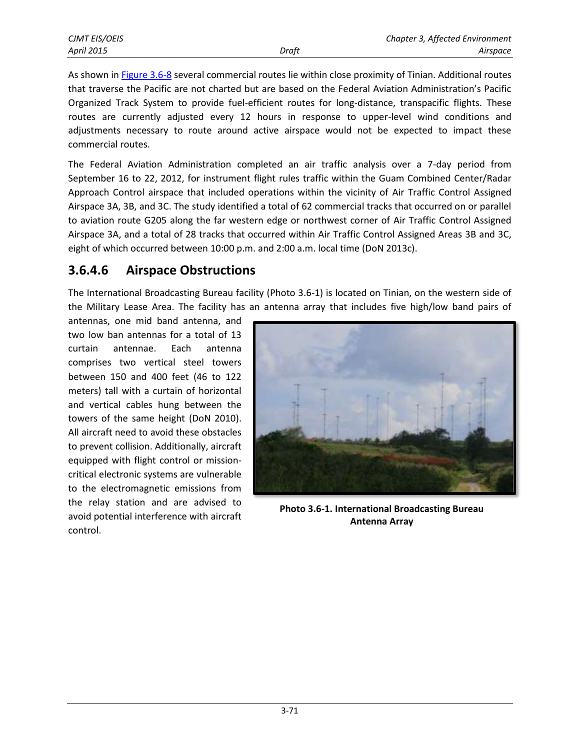As shown in [Figure 3.6-8](#page-15-0) several commercial routes lie within close proximity of Tinian. Additional routes that traverse the Pacific are not charted but are based on the Federal Aviation Administration's Pacific Organized Track System to provide fuel-efficient routes for long-distance, transpacific flights. These routes are currently adjusted every 12 hours in response to upper-level wind conditions and adjustments necessary to route around active airspace would not be expected to impact these commercial routes.

The Federal Aviation Administration completed an air traffic analysis over a 7-day period from September 16 to 22, 2012, for instrument flight rules traffic within the Guam Combined Center/Radar Approach Control airspace that included operations within the vicinity of Air Traffic Control Assigned Airspace 3A, 3B, and 3C. The study identified a total of 62 commercial tracks that occurred on or parallel to aviation route G205 along the far western edge or northwest corner of Air Traffic Control Assigned Airspace 3A, and a total of 28 tracks that occurred within Air Traffic Control Assigned Areas 3B and 3C, eight of which occurred between 10:00 p.m. and 2:00 a.m. local time (DoN 2013c).

#### **3.6.4.6 Airspace Obstructions**

The International Broadcasting Bureau facility (Photo 3.6-1) is located on Tinian, on the western side of the Military Lease Area. The facility has an antenna array that includes five high/low band pairs of

antennas, one mid band antenna, and two low ban antennas for a total of 13 curtain antennae. Each antenna comprises two vertical steel towers between 150 and 400 feet (46 to 122 meters) tall with a curtain of horizontal and vertical cables hung between the towers of the same height (DoN 2010). All aircraft need to avoid these obstacles to prevent collision. Additionally, aircraft equipped with flight control or missioncritical electronic systems are vulnerable to the electromagnetic emissions from the relay station and are advised to avoid potential interference with aircraft control.



**Photo 3.6-1. International Broadcasting Bureau Antenna Array**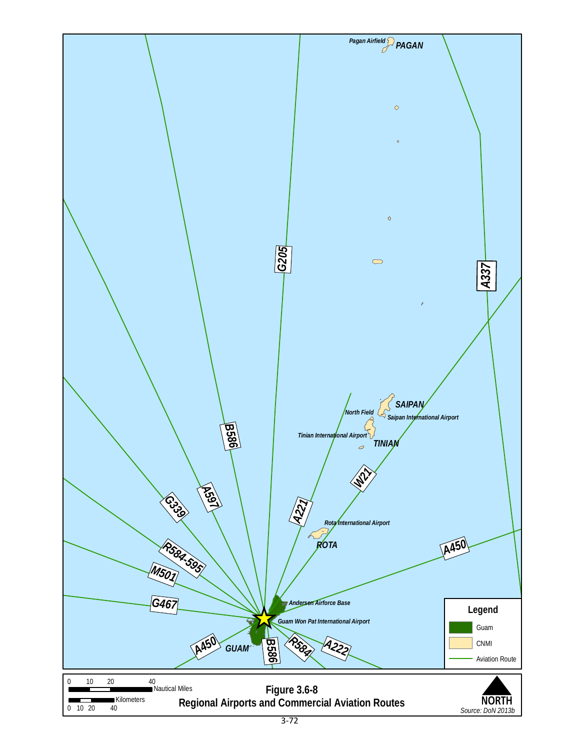<span id="page-15-0"></span>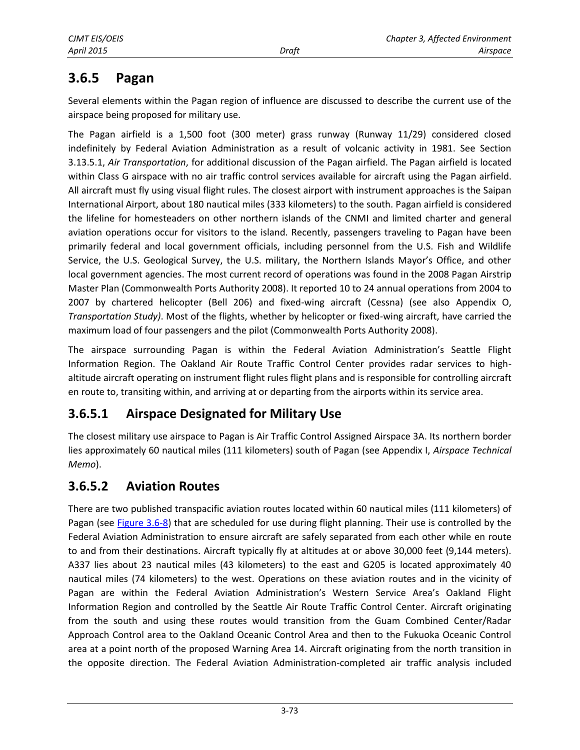## **3.6.5 Pagan**

Several elements within the Pagan region of influence are discussed to describe the current use of the airspace being proposed for military use.

The Pagan airfield is a 1,500 foot (300 meter) grass runway (Runway 11/29) considered closed indefinitely by Federal Aviation Administration as a result of volcanic activity in 1981. See Section 3.13.5.1, *Air Transportation*, for additional discussion of the Pagan airfield. The Pagan airfield is located within Class G airspace with no air traffic control services available for aircraft using the Pagan airfield. All aircraft must fly using visual flight rules. The closest airport with instrument approaches is the Saipan International Airport, about 180 nautical miles (333 kilometers) to the south. Pagan airfield is considered the lifeline for homesteaders on other northern islands of the CNMI and limited charter and general aviation operations occur for visitors to the island. Recently, passengers traveling to Pagan have been primarily federal and local government officials, including personnel from the U.S. Fish and Wildlife Service, the U.S. Geological Survey, the U.S. military, the Northern Islands Mayor's Office, and other local government agencies. The most current record of operations was found in the 2008 Pagan Airstrip Master Plan (Commonwealth Ports Authority 2008). It reported 10 to 24 annual operations from 2004 to 2007 by chartered helicopter (Bell 206) and fixed-wing aircraft (Cessna) (see also Appendix O, *Transportation Study)*. Most of the flights, whether by helicopter or fixed-wing aircraft, have carried the maximum load of four passengers and the pilot (Commonwealth Ports Authority 2008).

The airspace surrounding Pagan is within the Federal Aviation Administration's Seattle Flight Information Region. The Oakland Air Route Traffic Control Center provides radar services to highaltitude aircraft operating on instrument flight rules flight plans and is responsible for controlling aircraft en route to, transiting within, and arriving at or departing from the airports within its service area.

### **3.6.5.1 Airspace Designated for Military Use**

The closest military use airspace to Pagan is Air Traffic Control Assigned Airspace 3A. Its northern border lies approximately 60 nautical miles (111 kilometers) south of Pagan (see Appendix I, *Airspace Technical Memo*).

### **3.6.5.2 Aviation Routes**

There are two published transpacific aviation routes located within 60 nautical miles (111 kilometers) of Pagan (see [Figure 3.6-8\)](#page-15-0) that are scheduled for use during flight planning. Their use is controlled by the Federal Aviation Administration to ensure aircraft are safely separated from each other while en route to and from their destinations. Aircraft typically fly at altitudes at or above 30,000 feet (9,144 meters). A337 lies about 23 nautical miles (43 kilometers) to the east and G205 is located approximately 40 nautical miles (74 kilometers) to the west. Operations on these aviation routes and in the vicinity of Pagan are within the Federal Aviation Administration's Western Service Area's Oakland Flight Information Region and controlled by the Seattle Air Route Traffic Control Center. Aircraft originating from the south and using these routes would transition from the Guam Combined Center/Radar Approach Control area to the Oakland Oceanic Control Area and then to the Fukuoka Oceanic Control area at a point north of the proposed Warning Area 14. Aircraft originating from the north transition in the opposite direction. The Federal Aviation Administration-completed air traffic analysis included